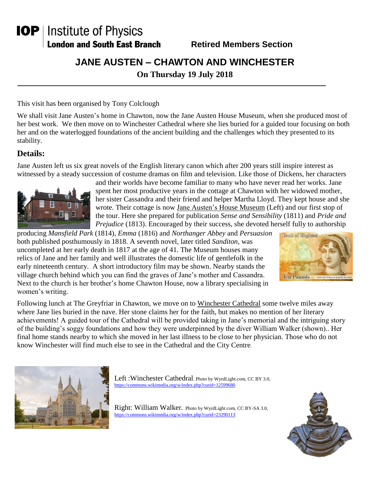# **IOP** | Institute of Physics **London and South East Branch**

**Retired Members Section**

## **JANE AUSTEN – CHAWTON AND WINCHESTER**

**On Thursday 19 July 2018**

This visit has been organised by Tony Colclough

We shall visit Jane Austen's home in Chawton, now the Jane Austen House Museum, when she produced most of her best work. We then move on to Winchester Cathedral where she lies buried for a guided tour focusing on both her and on the waterlogged foundations of the ancient building and the challenges which they presented to its stability.

## **Details:**

Jane Austen left us six great novels of the English literary canon which after 200 years still inspire interest as witnessed by a steady succession of costume dramas on film and television. Like those of Dickens, her characters



and their worlds have become familiar to many who have never read her works. Jane spent her most productive years in the cottage at Chawton with her widowed mother, her sister Cassandra and their friend and helper Martha Lloyd. They kept house and she wrote. Their cottage is now Jane Austen's House Museum (Left) and our first stop of the tour. Here she prepared for publication *Sense and Sensibility* (1811) and *Pride and Prejudice* (1813). Encouraged by their success, she devoted herself fully to authorship

producing *Mansfield Park* (1814), *Emma* (1816) and *Northanger Abbey* and *Persuasion* both published posthumously in 1818. A seventh novel, later titled *Sanditon,* was uncompleted at her early death in 1817 at the age of 41. The Museum houses many relics of Jane and her family and well illustrates the domestic life of gentlefolk in the early nineteenth century. A short introductory film may be shown. Nearby stands the village church behind which you can find the graves of Jane's mother and Cassandra. Next to the church is her brother's home Chawton House, now a library specialising in women's writing.



Following lunch at The Greyfriar in Chawton, we move on to Winchester Cathedral some twelve miles away where Jane lies buried in the nave. Her stone claims her for the faith, but makes no mention of her literary achievements! A guided tour of the Cathedral will be provided taking in Jane's memorial and the intriguing story of the building's soggy foundations and how they were underpinned by the diver William Walker (shown).. Her final home stands nearby to which she moved in her last illness to be close to her physician. Those who do not know Winchester will find much else to see in the Cathedral and the City Centre.



Left : Winchester Cathedral. Photo by WyrdLight.com, CC BY 3.0, <https://commons.wikimedia.org/w/index.php?curid=12599680>

Right: William Walker. Photo by WyrdLight.com, CC BY-SA 3.0, <https://commons.wikimedia.org/w/index.php?curid=23290113>

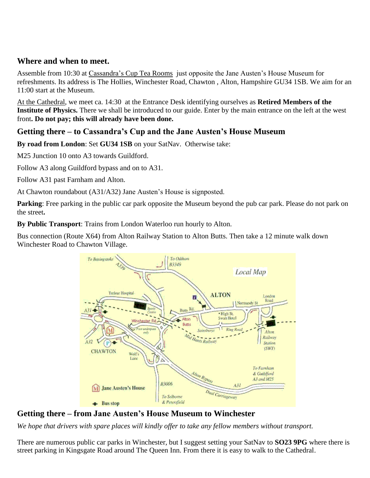#### **Where and when to meet.**

Assemble from 10:30 at Cassandra's Cup Tea Rooms just opposite the Jane Austen's House Museum for refreshments. Its address is The Hollies, Winchester Road, Chawton , Alton, Hampshire GU34 1SB. We aim for an 11:00 start at the Museum.

At the Cathedral, we meet ca. 14:30 at the Entrance Desk identifying ourselves as **Retired Members of the Institute of Physics.** There we shall be introduced to our guide. Enter by the main entrance on the left at the west front**. Do not pay; this will already have been done.**

## **Getting there – to Cassandra's Cup and the Jane Austen's House Museum**

**By road from London**: Set **GU34 1SB** on your SatNav. Otherwise take:

M25 Junction 10 onto A3 towards Guildford.

Follow A3 along Guildford bypass and on to A31.

Follow A31 past Farnham and Alton.

At Chawton roundabout (A31/A32) Jane Austen's House is signposted.

**Parking**: Free parking in the public car park opposite the Museum beyond the pub car park. Please do not park on the street**.**

**By Public Transport**: Trains from London Waterloo run hourly to Alton.

Bus connection (Route X64) from Alton Railway Station to Alton Butts. Then take a 12 minute walk down Winchester Road to Chawton Village.



**Getting there – from Jane Austen's House Museum to Winchester**

*We hope that drivers with spare places will kindly offer to take any fellow members without transport.*

There are numerous public car parks in Winchester, but I suggest setting your SatNav to **SO23 9PG** where there is street parking in Kingsgate Road around The Queen Inn. From there it is easy to walk to the Cathedral.